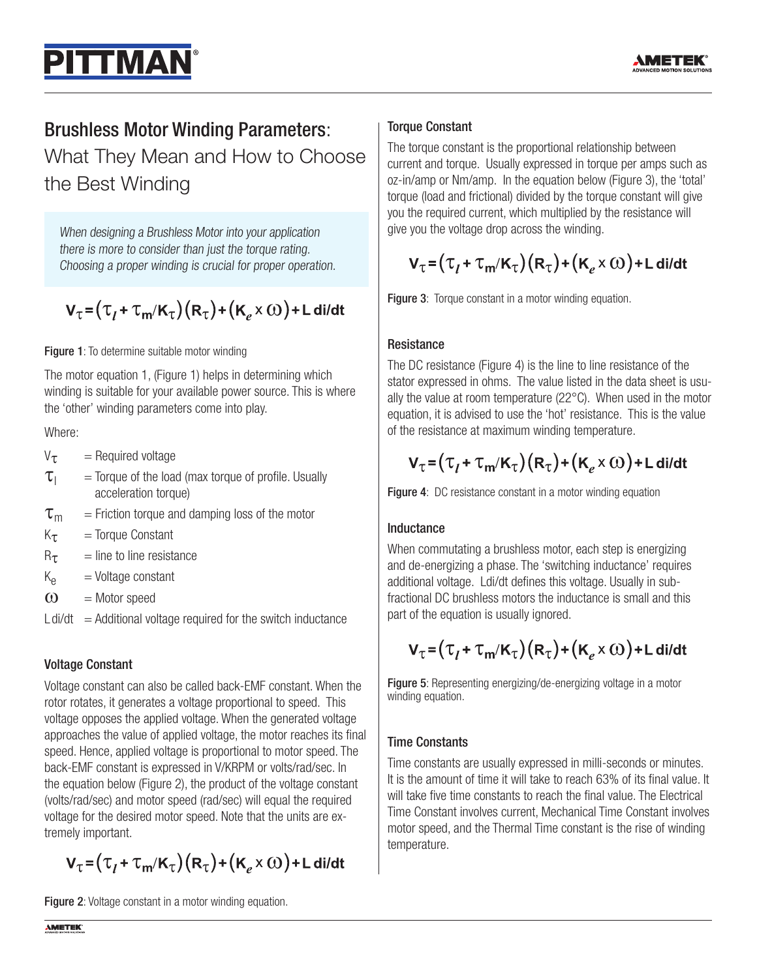

# Brushless Motor Winding Parameters:

**ITTMAN** 

What They Mean and How to Choose the Best Winding

When designing a Brushless Motor into your application there is more to consider than just the torque rating. Choosing a proper winding is crucial for proper operation.

$$
V_{\tau} = (\tau_{l} + \tau_{m}/K_{\tau})(R_{\tau}) + (K_{e} \times \omega) + L \operatorname{di/dt}
$$

#### **Figure 1:** To determine suitable motor winding

The motor equation 1, (Figure 1) helps in determining which winding is suitable for your available power source. This is where the 'other' winding parameters come into play.

## Where:

- $V_{\tau}$  = Required voltage
- $\tau_{\text{I}}$  = Torque of the load (max torque of profile. Usually acceleration torque)
- $\tau_{\rm m}$  = Friction torque and damping loss of the motor
- $K_{\tau}$  = Torque Constant
- $R_{\tau}$  = line to line resistance
- $K_{\rm e}$  = Voltage constant
- $\omega$  = Motor speed
- $L \frac{di}{dt}$  = Additional voltage required for the switch inductance

# Voltage Constant

Voltage constant can also be called back-EMF constant. When the rotor rotates, it generates a voltage proportional to speed. This voltage opposes the applied voltage. When the generated voltage approaches the value of applied voltage, the motor reaches its final speed. Hence, applied voltage is proportional to motor speed. The back-EMF constant is expressed in V/KRPM or volts/rad/sec. In the equation below (Figure 2), the product of the voltage constant (volts/rad/sec) and motor speed (rad/sec) will equal the required voltage for the desired motor speed. Note that the units are extremely important.

 $V_{\tau} = (\tau_I + \tau_m/K_{\tau})(R_{\tau}) + (K_{\sigma} \times \omega) + L \frac{di}{dt}$ 

Figure 2: Voltage constant in a motor winding equation.

#### Torque Constant

The torque constant is the proportional relationship between current and torque. Usually expressed in torque per amps such as oz-in/amp or Nm/amp. In the equation below (Figure 3), the 'total' torque (load and frictional) divided by the torque constant will give you the required current, which multiplied by the resistance will give you the voltage drop across the winding.

# $V_{\tau} = (\tau_I + \tau_m/K_{\tau})(R_{\tau}) + (K_e \times \omega) + L$  di/dt

Figure 3: Torque constant in a motor winding equation.

## **Resistance**

The DC resistance (Figure 4) is the line to line resistance of the stator expressed in ohms. The value listed in the data sheet is usually the value at room temperature (22°C). When used in the motor equation, it is advised to use the 'hot' resistance. This is the value of the resistance at maximum winding temperature.

# $V_{\tau} = (\tau_I + \tau_m/K_{\tau})(R_{\tau}) + (K_e \times \omega) + L \frac{di}{dt}$

Figure 4: DC resistance constant in a motor winding equation

#### Inductance

When commutating a brushless motor, each step is energizing and de-energizing a phase. The 'switching inductance' requires additional voltage. Ldi/dt defines this voltage. Usually in subfractional DC brushless motors the inductance is small and this part of the equation is usually ignored.

# $V_{\tau} = (\tau_I + \tau_m/K_{\tau})(R_{\tau}) + (K_{\rho} \times \omega) + L \frac{di}{dt}$

Figure 5: Representing energizing/de-energizing voltage in a motor winding equation.

# Time Constants

Time constants are usually expressed in milli-seconds or minutes. It is the amount of time it will take to reach 63% of its final value. It will take five time constants to reach the final value. The Electrical Time Constant involves current, Mechanical Time Constant involves motor speed, and the Thermal Time constant is the rise of winding temperature.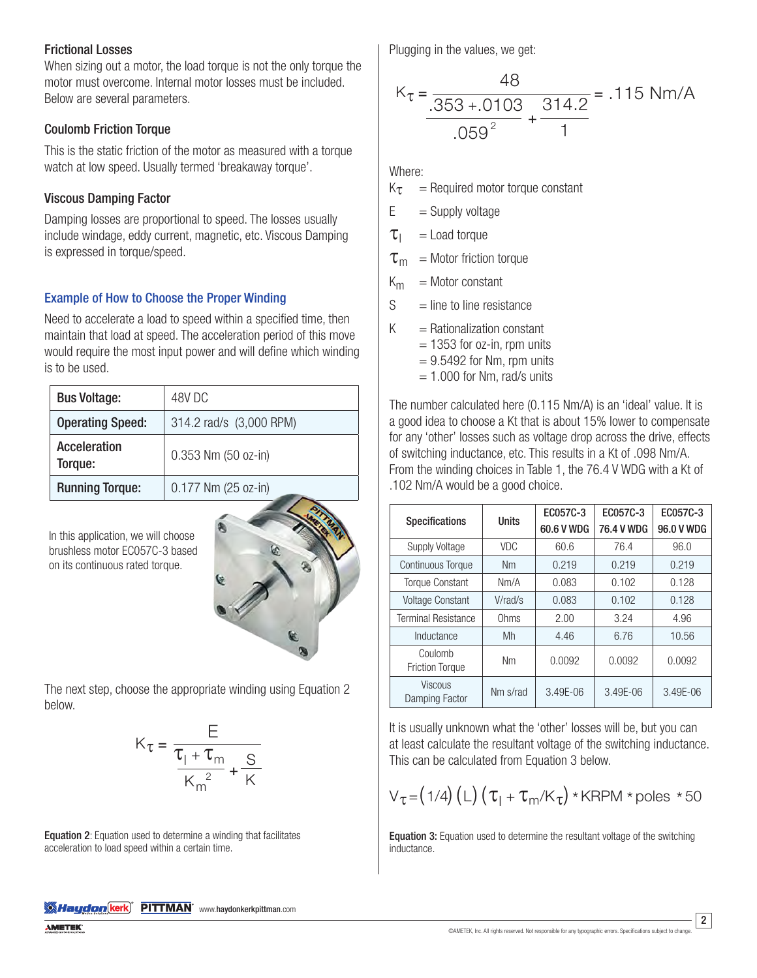#### Frictional Losses

When sizing out a motor, the load torque is not the only torque the motor must overcome. Internal motor losses must be included. Below are several parameters.

#### Coulomb Friction Torque

This is the static friction of the motor as measured with a torque watch at low speed. Usually termed 'breakaway torque'.

#### Viscous Damping Factor

Damping losses are proportional to speed. The losses usually include windage, eddy current, magnetic, etc. Viscous Damping is expressed in torque/speed.

## Example of How to Choose the Proper Winding

Need to accelerate a load to speed within a specified time, then maintain that load at speed. The acceleration period of this move would require the most input power and will define which winding is to be used.

| <b>Bus Voltage:</b>            | 48V DC                  |  |  |  |
|--------------------------------|-------------------------|--|--|--|
| <b>Operating Speed:</b>        | 314.2 rad/s (3,000 RPM) |  |  |  |
| <b>Acceleration</b><br>Torque: | 0.353 Nm (50 oz-in)     |  |  |  |
| <b>Running Torque:</b>         | 0.177 Nm (25 oz-in)     |  |  |  |

In this application, we will choose brushless motor EC057C-3 based on its continuous rated torque.



The next step, choose the appropriate winding using Equation 2 below.

$$
K_{\tau} = \frac{E}{\frac{\tau_1 + \tau_m}{K_m^2} + \frac{S}{K}}
$$

**1 2**: Equation used to determine a winding t<br>tion to load speed within a certain time. uatio<br>Colora  $\frac{1}{4}$ **Equation 2**: Equation used to determine a winding that facilitates<br>acceleration to load speed within a certain time. Plugging in the values, we get:  $2<sup>th</sup>$ 

$$
K_{\tau} = \frac{48}{.353 + .0103} + \frac{314.2}{1} = .115
$$
 Nm/A

Where:

 $K_{\tau}$  = Required motor torque constant

 $E =$  Supply voltage

 $\tau_1$  = Load torque

 $\tau_{\rm m}$  = Motor friction torque

 $K_m$  = Motor constant

 $S =$  line to line resistance

 $K =$ Rationalization constant

 $= 1353$  for oz-in, rpm units

 $= 9.5492$  for Nm, rpm units

 $= 1.000$  for Nm, rad/s units

The number calculated here (0.115 Nm/A) is an 'ideal' value. It is a good idea to choose a Kt that is about 15% lower to compensate for any 'other' losses such as voltage drop across the drive, effects of switching inductance, etc. This results in a Kt of .098 Nm/A. From the winding choices in Table 1, the 76.4 V WDG with a Kt of .102 Nm/A would be a good choice.

| <b>Specifications</b>             | <b>Units</b> | EC057C-3     | EC057C-3     | EC057C-3   |
|-----------------------------------|--------------|--------------|--------------|------------|
|                                   |              | 60.6 V WDG   | 76.4 V WDG   | 96.0 V WDG |
| Supply Voltage                    | <b>VDC</b>   | 60.6         | 76.4         | 96.0       |
| <b>Continuous Torque</b>          | <b>Nm</b>    | 0.219        | 0.219        | 0.219      |
| Torque Constant                   | Nm/A         | 0.083        | 0.102        | 0.128      |
| Voltage Constant                  | V/rad/s      | 0.083        | 0.102        | 0.128      |
| <b>Terminal Resistance</b>        | Ohms         | 2.00         | 3.24         | 4.96       |
| Inductance                        | Mh           | 4.46         | 6.76         | 10.56      |
| Coulomb<br><b>Friction Torque</b> | Nm           | 0.0092       | 0.0092       | 0.0092     |
| <b>Viscous</b><br>Damping Factor  | Nm s/rad     | $3.49E - 06$ | $3.49E - 06$ | 3.49E-06   |

It is usually unknown what the 'other' losses will be, but you can at least calculate the resultant voltage of the switching inductance. This can be calculated from Equation 3 below.

$$
V_{\tau} = (1/4) (L) (\tau_1 + \tau_m / K_{\tau}) * KRPM * poles * 50
$$

Equation 3: Equation used to determine the resultant voltage of the switching inductance.

**Wild Haydon (kerk)<sup>"</sup> PITTMAN**" www.haydonkerkpittman.com

2